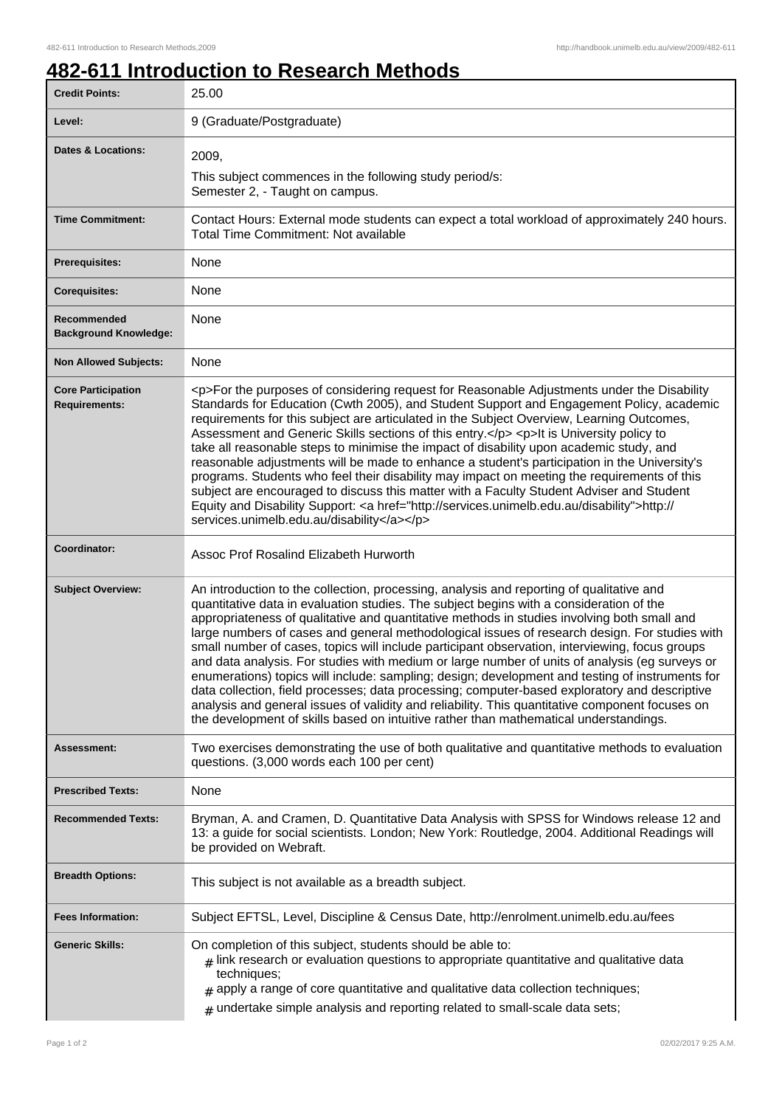## **482-611 Introduction to Research Methods**

| <b>Credit Points:</b>                             | 25.00                                                                                                                                                                                                                                                                                                                                                                                                                                                                                                                                                                                                                                                                                                                                                                                                                                                                                                                                                                                   |
|---------------------------------------------------|-----------------------------------------------------------------------------------------------------------------------------------------------------------------------------------------------------------------------------------------------------------------------------------------------------------------------------------------------------------------------------------------------------------------------------------------------------------------------------------------------------------------------------------------------------------------------------------------------------------------------------------------------------------------------------------------------------------------------------------------------------------------------------------------------------------------------------------------------------------------------------------------------------------------------------------------------------------------------------------------|
| Level:                                            | 9 (Graduate/Postgraduate)                                                                                                                                                                                                                                                                                                                                                                                                                                                                                                                                                                                                                                                                                                                                                                                                                                                                                                                                                               |
| <b>Dates &amp; Locations:</b>                     | 2009,<br>This subject commences in the following study period/s:                                                                                                                                                                                                                                                                                                                                                                                                                                                                                                                                                                                                                                                                                                                                                                                                                                                                                                                        |
|                                                   | Semester 2, - Taught on campus.                                                                                                                                                                                                                                                                                                                                                                                                                                                                                                                                                                                                                                                                                                                                                                                                                                                                                                                                                         |
| <b>Time Commitment:</b>                           | Contact Hours: External mode students can expect a total workload of approximately 240 hours.<br><b>Total Time Commitment: Not available</b>                                                                                                                                                                                                                                                                                                                                                                                                                                                                                                                                                                                                                                                                                                                                                                                                                                            |
| <b>Prerequisites:</b>                             | None                                                                                                                                                                                                                                                                                                                                                                                                                                                                                                                                                                                                                                                                                                                                                                                                                                                                                                                                                                                    |
| <b>Corequisites:</b>                              | None                                                                                                                                                                                                                                                                                                                                                                                                                                                                                                                                                                                                                                                                                                                                                                                                                                                                                                                                                                                    |
| Recommended<br><b>Background Knowledge:</b>       | None                                                                                                                                                                                                                                                                                                                                                                                                                                                                                                                                                                                                                                                                                                                                                                                                                                                                                                                                                                                    |
| <b>Non Allowed Subjects:</b>                      | None                                                                                                                                                                                                                                                                                                                                                                                                                                                                                                                                                                                                                                                                                                                                                                                                                                                                                                                                                                                    |
| <b>Core Participation</b><br><b>Requirements:</b> | <p>For the purposes of considering request for Reasonable Adjustments under the Disability<br/>Standards for Education (Cwth 2005), and Student Support and Engagement Policy, academic<br/>requirements for this subject are articulated in the Subject Overview, Learning Outcomes,<br/>Assessment and Generic Skills sections of this entry.</p> <p>It is University policy to<br/>take all reasonable steps to minimise the impact of disability upon academic study, and<br/>reasonable adjustments will be made to enhance a student's participation in the University's<br/>programs. Students who feel their disability may impact on meeting the requirements of this<br/>subject are encouraged to discuss this matter with a Faculty Student Adviser and Student<br/>Equity and Disability Support: &lt; a href="http://services.unimelb.edu.au/disability"&gt;http://<br/>services.unimelb.edu.au/disability</p>                                                            |
| Coordinator:                                      | Assoc Prof Rosalind Elizabeth Hurworth                                                                                                                                                                                                                                                                                                                                                                                                                                                                                                                                                                                                                                                                                                                                                                                                                                                                                                                                                  |
| <b>Subject Overview:</b>                          | An introduction to the collection, processing, analysis and reporting of qualitative and<br>quantitative data in evaluation studies. The subject begins with a consideration of the<br>appropriateness of qualitative and quantitative methods in studies involving both small and<br>large numbers of cases and general methodological issues of research design. For studies with<br>small number of cases, topics will include participant observation, interviewing, focus groups<br>and data analysis. For studies with medium or large number of units of analysis (eg surveys or<br>enumerations) topics will include: sampling; design; development and testing of instruments for<br>data collection, field processes; data processing; computer-based exploratory and descriptive<br>analysis and general issues of validity and reliability. This quantitative component focuses on<br>the development of skills based on intuitive rather than mathematical understandings. |
| Assessment:                                       | Two exercises demonstrating the use of both qualitative and quantitative methods to evaluation<br>questions. (3,000 words each 100 per cent)                                                                                                                                                                                                                                                                                                                                                                                                                                                                                                                                                                                                                                                                                                                                                                                                                                            |
| <b>Prescribed Texts:</b>                          | None                                                                                                                                                                                                                                                                                                                                                                                                                                                                                                                                                                                                                                                                                                                                                                                                                                                                                                                                                                                    |
| <b>Recommended Texts:</b>                         | Bryman, A. and Cramen, D. Quantitative Data Analysis with SPSS for Windows release 12 and<br>13: a guide for social scientists. London; New York: Routledge, 2004. Additional Readings will<br>be provided on Webraft.                                                                                                                                                                                                                                                                                                                                                                                                                                                                                                                                                                                                                                                                                                                                                                  |
| <b>Breadth Options:</b>                           | This subject is not available as a breadth subject.                                                                                                                                                                                                                                                                                                                                                                                                                                                                                                                                                                                                                                                                                                                                                                                                                                                                                                                                     |
| <b>Fees Information:</b>                          | Subject EFTSL, Level, Discipline & Census Date, http://enrolment.unimelb.edu.au/fees                                                                                                                                                                                                                                                                                                                                                                                                                                                                                                                                                                                                                                                                                                                                                                                                                                                                                                    |
| <b>Generic Skills:</b>                            | On completion of this subject, students should be able to:<br>$#$ link research or evaluation questions to appropriate quantitative and qualitative data<br>techniques;<br>$*$ apply a range of core quantitative and qualitative data collection techniques;<br>$*$ undertake simple analysis and reporting related to small-scale data sets;                                                                                                                                                                                                                                                                                                                                                                                                                                                                                                                                                                                                                                          |